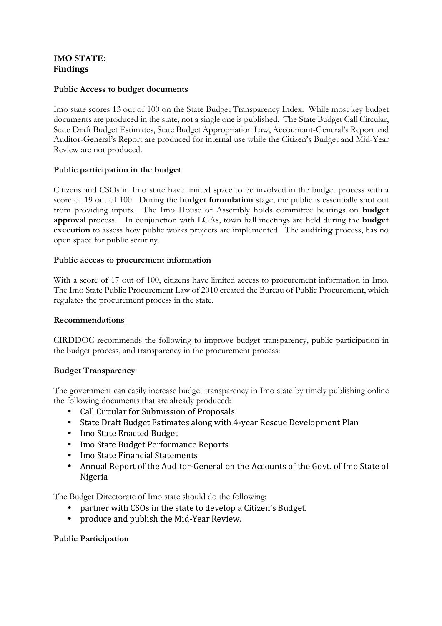# **IMO STATE: Findings**

#### **Public Access to budget documents**

Imo state scores 13 out of 100 on the State Budget Transparency Index. While most key budget documents are produced in the state, not a single one is published. The State Budget Call Circular, State Draft Budget Estimates, State Budget Appropriation Law, Accountant-General's Report and Auditor-General's Report are produced for internal use while the Citizen's Budget and Mid-Year Review are not produced.

### **Public participation in the budget**

Citizens and CSOs in Imo state have limited space to be involved in the budget process with a score of 19 out of 100. During the **budget formulation** stage, the public is essentially shot out from providing inputs. The Imo House of Assembly holds committee hearings on **budget approval** process. In conjunction with LGAs, town hall meetings are held during the **budget execution** to assess how public works projects are implemented. The **auditing** process, has no open space for public scrutiny.

#### **Public access to procurement information**

With a score of 17 out of 100, citizens have limited access to procurement information in Imo. The Imo State Public Procurement Law of 2010 created the Bureau of Public Procurement, which regulates the procurement process in the state.

#### **Recommendations**

CIRDDOC recommends the following to improve budget transparency, public participation in the budget process, and transparency in the procurement process:

#### **Budget Transparency**

The government can easily increase budget transparency in Imo state by timely publishing online the following documents that are already produced:

- Call Circular for Submission of Proposals
- State Draft Budget Estimates along with 4-year Rescue Development Plan
- Imo State Enacted Budget
- Imo State Budget Performance Reports
- Imo State Financial Statements
- Annual Report of the Auditor-General on the Accounts of the Govt. of Imo State of Nigeria

The Budget Directorate of Imo state should do the following:

- partner with CSOs in the state to develop a Citizen's Budget.
- produce and publish the Mid-Year Review.

#### **Public Participation**